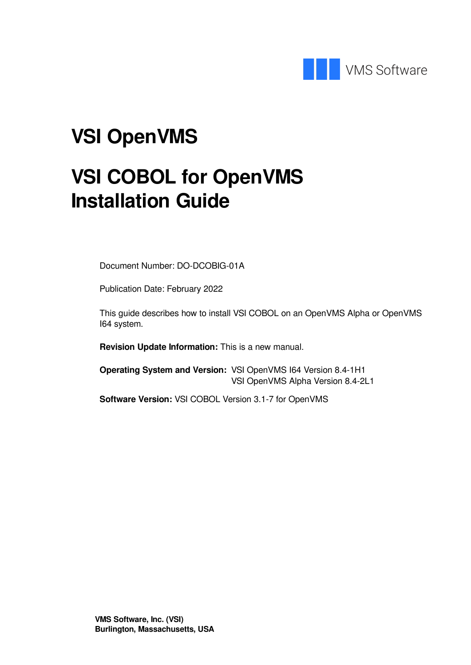

## **VSI OpenVMS**

# **VSI COBOL for OpenVMS Installation Guide**

Document Number: DO-DCOBIG-01A

Publication Date: February 2022

This guide describes how to install VSI COBOL on an OpenVMS Alpha or OpenVMS I64 system.

**Revision Update Information:** This is a new manual.

**Operating System and Version:** VSI OpenVMS I64 Version 8.4-1H1 VSI OpenVMS Alpha Version 8.4-2L1

**Software Version:** VSI COBOL Version 3.1-7 for OpenVMS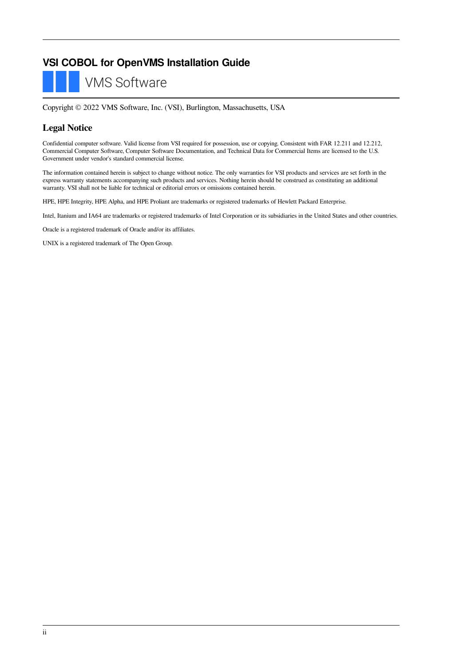### **VSI COBOL for OpenVMS Installation Guide**

**VMS Software** 

Copyright © 2022 VMS Software, Inc. (VSI), Burlington, Massachusetts, USA

#### **Legal Notice**

Confidential computer software. Valid license from VSI required for possession, use or copying. Consistent with FAR 12.211 and 12.212, Commercial Computer Software, Computer Software Documentation, and Technical Data for Commercial Items are licensed to the U.S. Government under vendor's standard commercial license.

The information contained herein is subject to change without notice. The only warranties for VSI products and services are set forth in the express warranty statements accompanying such products and services. Nothing herein should be construed as constituting an additional warranty. VSI shall not be liable for technical or editorial errors or omissions contained herein.

HPE, HPE Integrity, HPE Alpha, and HPE Proliant are trademarks or registered trademarks of Hewlett Packard Enterprise.

Intel, Itanium and IA64 are trademarks or registered trademarks of Intel Corporation or its subsidiaries in the United States and other countries.

Oracle is a registered trademark of Oracle and/or its affiliates.

UNIX is a registered trademark of The Open Group.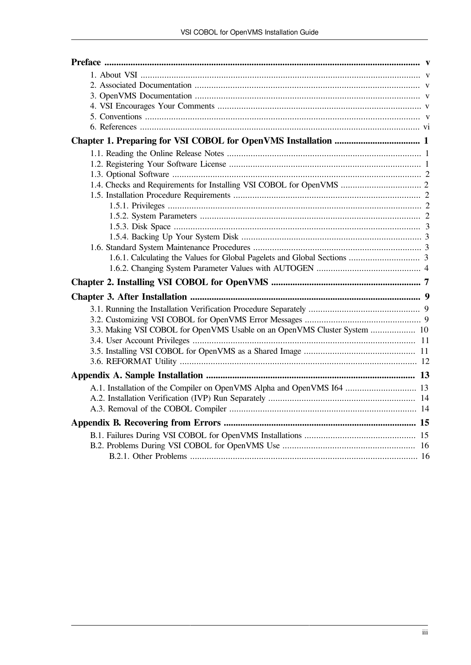| 3.3. Making VSI COBOL for OpenVMS Usable on an OpenVMS Cluster System  10 |  |
|---------------------------------------------------------------------------|--|
|                                                                           |  |
|                                                                           |  |
|                                                                           |  |
|                                                                           |  |
| A.1. Installation of the Compiler on OpenVMS Alpha and OpenVMS 164  13    |  |
|                                                                           |  |
|                                                                           |  |
|                                                                           |  |
|                                                                           |  |
|                                                                           |  |
|                                                                           |  |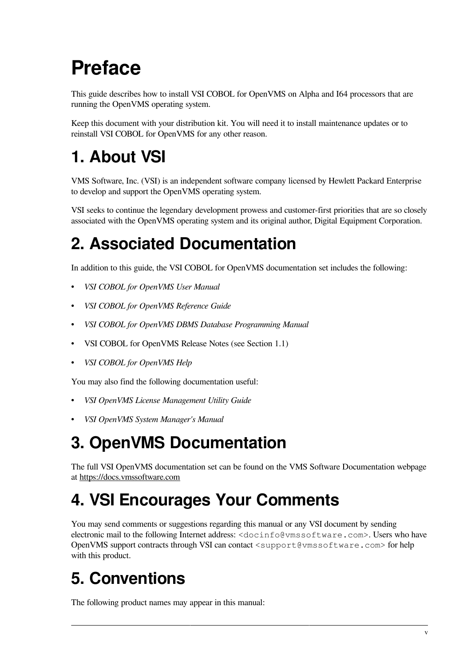# <span id="page-4-0"></span>**Preface**

This guide describes how to install VSI COBOL for OpenVMS on Alpha and I64 processors that are running the OpenVMS operating system.

Keep this document with your distribution kit. You will need it to install maintenance updates or to reinstall VSI COBOL for OpenVMS for any other reason.

## <span id="page-4-1"></span>**1. About VSI**

VMS Software, Inc. (VSI) is an independent software company licensed by Hewlett Packard Enterprise to develop and support the OpenVMS operating system.

VSI seeks to continue the legendary development prowess and customer-first priorities that are so closely associated with the OpenVMS operating system and its original author, Digital Equipment Corporation.

## <span id="page-4-2"></span>**2. Associated Documentation**

In addition to this guide, the VSI COBOL for OpenVMS documentation set includes the following:

- *VSI COBOL for OpenVMS User Manual*
- *VSI COBOL for OpenVMS Reference Guide*
- *VSI COBOL for OpenVMS DBMS Database Programming Manual*
- VSI COBOL for OpenVMS Release Notes (see [Section](#page-6-1) 1.1)
- *VSI COBOL for OpenVMS Help*

You may also find the following documentation useful:

- *VSI OpenVMS License Management Utility Guide*
- *VSI OpenVMS System Manager's Manual*

## <span id="page-4-3"></span>**3. OpenVMS Documentation**

The full VSI OpenVMS documentation set can be found on the VMS Software Documentation webpage at <https://docs.vmssoftware.com>

## <span id="page-4-4"></span>**4. VSI Encourages Your Comments**

You may send comments or suggestions regarding this manual or any VSI document by sending electronic mail to the following Internet address: <docinfo@vmssoftware.com>. Users who have OpenVMS support contracts through VSI can contact <support@vmssoftware.com> for help with this product.

## <span id="page-4-5"></span>**5. Conventions**

The following product names may appear in this manual: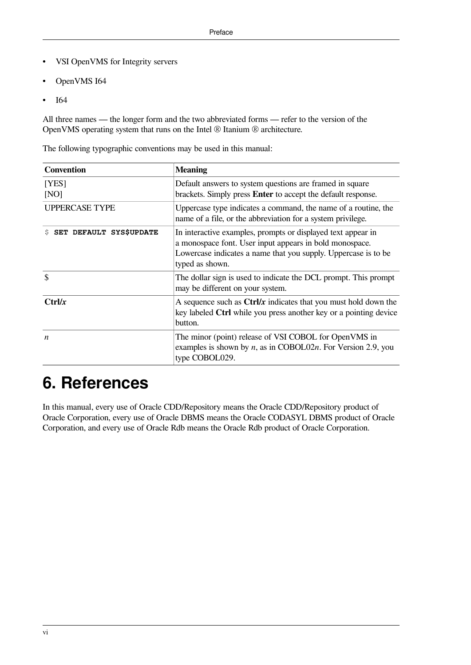- VSI OpenVMS for Integrity servers
- OpenVMS I64
- I<sub>64</sub>

All three names — the longer form and the two abbreviated forms — refer to the version of the OpenVMS operating system that runs on the Intel ® Itanium ® architecture.

The following typographic conventions may be used in this manual:

| <b>Convention</b>             | <b>Meaning</b>                                                                                                                                                                                               |
|-------------------------------|--------------------------------------------------------------------------------------------------------------------------------------------------------------------------------------------------------------|
| [YES]<br>[NO]                 | Default answers to system questions are framed in square<br>brackets. Simply press Enter to accept the default response.                                                                                     |
| <b>UPPERCASE TYPE</b>         | Uppercase type indicates a command, the name of a routine, the<br>name of a file, or the abbreviation for a system privilege.                                                                                |
| SET DEFAULT SYS\$UPDATE<br>Ŝ. | In interactive examples, prompts or displayed text appear in<br>a monospace font. User input appears in bold monospace.<br>Lowercase indicates a name that you supply. Uppercase is to be<br>typed as shown. |
| \$                            | The dollar sign is used to indicate the DCL prompt. This prompt<br>may be different on your system.                                                                                                          |
| Ctrl/x                        | A sequence such as $\frac{Ctrl}{x}$ indicates that you must hold down the<br>key labeled Ctrl while you press another key or a pointing device<br>button.                                                    |
| $\boldsymbol{n}$              | The minor (point) release of VSI COBOL for OpenVMS in<br>examples is shown by $n$ , as in COBOL02n. For Version 2.9, you<br>type COBOL029.                                                                   |

## <span id="page-5-0"></span>**6. References**

In this manual, every use of Oracle CDD/Repository means the Oracle CDD/Repository product of Oracle Corporation, every use of Oracle DBMS means the Oracle CODASYL DBMS product of Oracle Corporation, and every use of Oracle Rdb means the Oracle Rdb product of Oracle Corporation.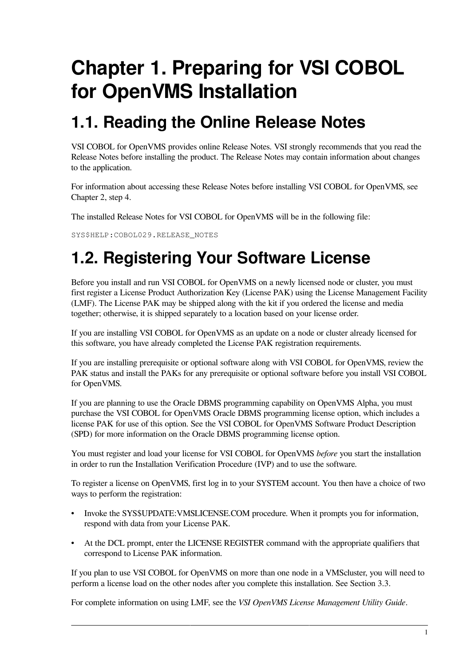# <span id="page-6-0"></span>**Chapter 1. Preparing for VSI COBOL for OpenVMS Installation**

## <span id="page-6-1"></span>**1.1. Reading the Online Release Notes**

VSI COBOL for OpenVMS provides online Release Notes. VSI strongly recommends that you read the Release Notes before installing the product. The Release Notes may contain information about changes to the application.

For information about accessing these Release Notes before installing VSI COBOL for OpenVMS, see [Chapter](#page-12-0) 2, step 4.

The installed Release Notes for VSI COBOL for OpenVMS will be in the following file:

SYS\$HELP: COBOL029.RELEASE\_NOTES

## <span id="page-6-2"></span>**1.2. Registering Your Software License**

Before you install and run VSI COBOL for OpenVMS on a newly licensed node or cluster, you must first register a License Product Authorization Key (License PAK) using the License Management Facility (LMF). The License PAK may be shipped along with the kit if you ordered the license and media together; otherwise, it is shipped separately to a location based on your license order.

If you are installing VSI COBOL for OpenVMS as an update on a node or cluster already licensed for this software, you have already completed the License PAK registration requirements.

If you are installing prerequisite or optional software along with VSI COBOL for OpenVMS, review the PAK status and install the PAKs for any prerequisite or optional software before you install VSI COBOL for OpenVMS.

If you are planning to use the Oracle DBMS programming capability on OpenVMS Alpha, you must purchase the VSI COBOL for OpenVMS Oracle DBMS programming license option, which includes a license PAK for use of this option. See the VSI COBOL for OpenVMS Software Product Description (SPD) for more information on the Oracle DBMS programming license option.

You must register and load your license for VSI COBOL for OpenVMS *before* you start the installation in order to run the Installation Verification Procedure (IVP) and to use the software.

To register a license on OpenVMS, first log in to your SYSTEM account. You then have a choice of two ways to perform the registration:

- Invoke the SYS\$UPDATE:VMSLICENSE.COM procedure. When it prompts you for information, respond with data from your License PAK.
- At the DCL prompt, enter the LICENSE REGISTER command with the appropriate qualifiers that correspond to License PAK information.

If you plan to use VSI COBOL for OpenVMS on more than one node in a VMScluster, you will need to perform a license load on the other nodes after you complete this installation. See [Section](#page-15-0) 3.3.

For complete information on using LMF, see the *VSI OpenVMS License Management Utility Guide*.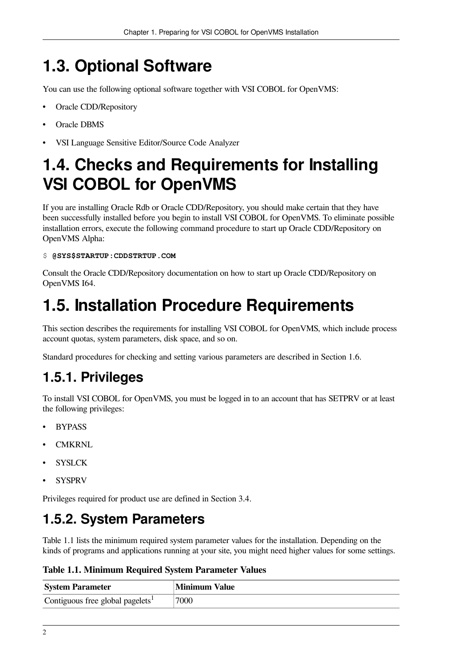## <span id="page-7-0"></span>**1.3. Optional Software**

You can use the following optional software together with VSI COBOL for OpenVMS:

- Oracle CDD/Repository
- Oracle DBMS
- VSI Language Sensitive Editor/Source Code Analyzer

### <span id="page-7-1"></span>**1.4. Checks and Requirements for Installing VSI COBOL for OpenVMS**

If you are installing Oracle Rdb or Oracle CDD/Repository, you should make certain that they have been successfully installed before you begin to install VSI COBOL for OpenVMS. To eliminate possible installation errors, execute the following command procedure to start up Oracle CDD/Repository on OpenVMS Alpha:

#### \$ **@SYS\$STARTUP:CDDSTRTUP.COM**

Consult the Oracle CDD/Repository documentation on how to start up Oracle CDD/Repository on OpenVMS I64.

## <span id="page-7-2"></span>**1.5. Installation Procedure Requirements**

This section describes the requirements for installing VSI COBOL for OpenVMS, which include process account quotas, system parameters, disk space, and so on.

Standard procedures for checking and setting various parameters are described in [Section](#page-8-2) 1.6.

### <span id="page-7-3"></span>**1.5.1. Privileges**

To install VSI COBOL for OpenVMS, you must be logged in to an account that has SETPRV or at least the following privileges:

- **BYPASS**
- **CMKRNL**
- **SYSLCK**
- SYSPRV

Privileges required for product use are defined in [Section](#page-16-0) 3.4.

### <span id="page-7-4"></span>**1.5.2. System Parameters**

[Table](#page-7-5) 1.1 lists the minimum required system parameter values for the installation. Depending on the kinds of programs and applications running at your site, you might need higher values for some settings.

<span id="page-7-5"></span>**Table 1.1. Minimum Required System Parameter Values**

| <b>System Parameter</b>                      | <b>Minimum Value</b> |
|----------------------------------------------|----------------------|
| Contiguous free global pagelets <sup>1</sup> | 7000                 |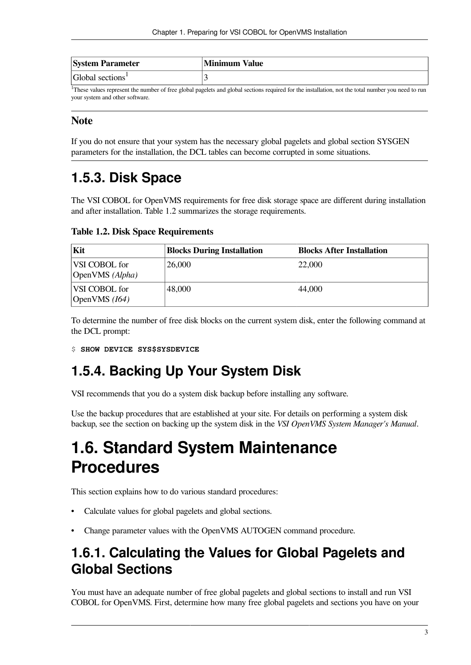| <b>System Parameter</b>      | <b>Minimum Value</b> |
|------------------------------|----------------------|
| Global sections <sup>1</sup> |                      |

<sup>1</sup>These values represent the number of free global pagelets and global sections required for the installation, not the total number you need to run your system and other software.

#### **Note**

If you do not ensure that your system has the necessary global pagelets and global section SYSGEN parameters for the installation, the DCL tables can become corrupted in some situations.

### <span id="page-8-0"></span>**1.5.3. Disk Space**

The VSI COBOL for OpenVMS requirements for free disk storage space are different during installation and after installation. [Table](#page-8-4) 1.2 summarizes the storage requirements.

<span id="page-8-4"></span>

| <b>Table 1.2. Disk Space Requirements</b> |  |  |  |
|-------------------------------------------|--|--|--|
|-------------------------------------------|--|--|--|

| Kit                              | <b>Blocks During Installation</b> | <b>Blocks After Installation</b> |
|----------------------------------|-----------------------------------|----------------------------------|
| VSI COBOL for<br>OpenVMS (Alpha) | 26,000                            | 22,000                           |
| VSI COBOL for<br>OpenVMS $(I64)$ | 48,000                            | 44,000                           |

To determine the number of free disk blocks on the current system disk, enter the following command at the DCL prompt:

```
$ SHOW DEVICE SYS$SYSDEVICE
```
### <span id="page-8-1"></span>**1.5.4. Backing Up Your System Disk**

VSI recommends that you do a system disk backup before installing any software.

Use the backup procedures that are established at your site. For details on performing a system disk backup, see the section on backing up the system disk in the *VSI OpenVMS System Manager's Manual*.

### <span id="page-8-2"></span>**1.6. Standard System Maintenance Procedures**

This section explains how to do various standard procedures:

- Calculate values for global pagelets and global sections.
- Change parameter values with the OpenVMS AUTOGEN command procedure.

### <span id="page-8-3"></span>**1.6.1. Calculating the Values for Global Pagelets and Global Sections**

You must have an adequate number of free global pagelets and global sections to install and run VSI COBOL for OpenVMS. First, determine how many free global pagelets and sections you have on your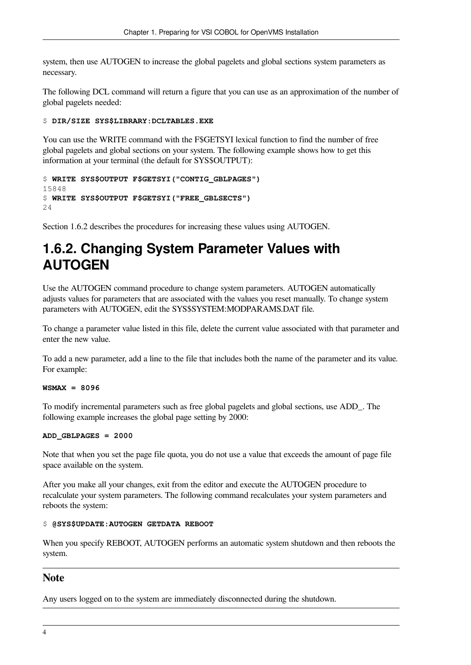system, then use AUTOGEN to increase the global pagelets and global sections system parameters as necessary.

The following DCL command will return a figure that you can use as an approximation of the number of global pagelets needed:

#### \$ **DIR/SIZE SYS\$LIBRARY:DCLTABLES.EXE**

You can use the WRITE command with the F\$GETSYI lexical function to find the number of free global pagelets and global sections on your system. The following example shows how to get this information at your terminal (the default for SYS\$OUTPUT):

```
$ WRITE SYS$OUTPUT F$GETSYI("CONTIG_GBLPAGES")
15848
$ WRITE SYS$OUTPUT F$GETSYI("FREE_GBLSECTS")
24
```
[Section](#page-9-0) 1.6.2 describes the procedures for increasing these values using AUTOGEN.

### <span id="page-9-0"></span>**1.6.2. Changing System Parameter Values with AUTOGEN**

Use the AUTOGEN command procedure to change system parameters. AUTOGEN automatically adjusts values for parameters that are associated with the values you reset manually. To change system parameters with AUTOGEN, edit the SYS\$SYSTEM:MODPARAMS.DAT file.

To change a parameter value listed in this file, delete the current value associated with that parameter and enter the new value.

To add a new parameter, add a line to the file that includes both the name of the parameter and its value. For example:

#### **WSMAX = 8096**

To modify incremental parameters such as free global pagelets and global sections, use ADD\_. The following example increases the global page setting by 2000:

#### **ADD\_GBLPAGES = 2000**

Note that when you set the page file quota, you do not use a value that exceeds the amount of page file space available on the system.

After you make all your changes, exit from the editor and execute the AUTOGEN procedure to recalculate your system parameters. The following command recalculates your system parameters and reboots the system:

#### \$ **@SYS\$UPDATE:AUTOGEN GETDATA REBOOT**

When you specify REBOOT, AUTOGEN performs an automatic system shutdown and then reboots the system.

#### **Note**

Any users logged on to the system are immediately disconnected during the shutdown.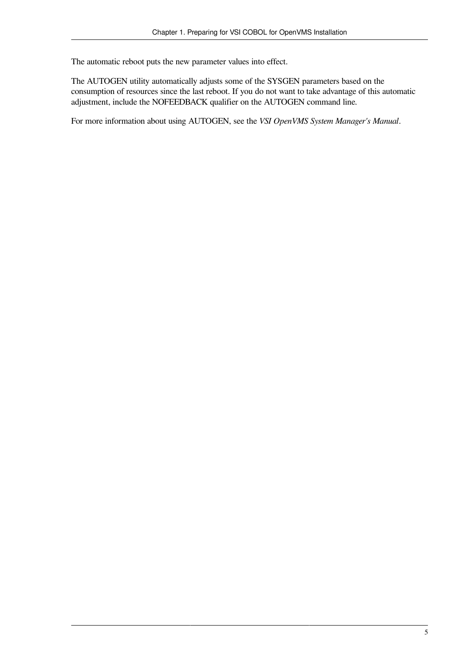The automatic reboot puts the new parameter values into effect.

The AUTOGEN utility automatically adjusts some of the SYSGEN parameters based on the consumption of resources since the last reboot. If you do not want to take advantage of this automatic adjustment, include the NOFEEDBACK qualifier on the AUTOGEN command line.

For more information about using AUTOGEN, see the *VSI OpenVMS System Manager's Manual*.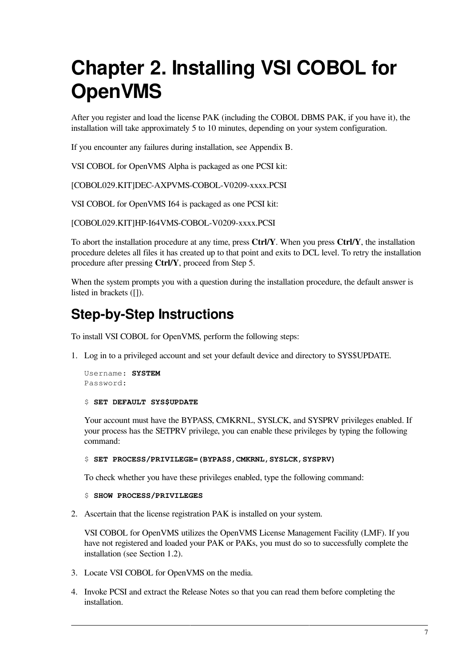# <span id="page-12-0"></span>**Chapter 2. Installing VSI COBOL for OpenVMS**

After you register and load the license PAK (including the COBOL DBMS PAK, if you have it), the installation will take approximately 5 to 10 minutes, depending on your system configuration.

If you encounter any failures during installation, see [Appendix](#page-20-0) B.

VSI COBOL for OpenVMS Alpha is packaged as one PCSI kit:

[COBOL029.KIT]DEC-AXPVMS-COBOL-V0209-xxxx.PCSI

VSI COBOL for OpenVMS I64 is packaged as one PCSI kit:

[COBOL029.KIT]HP-I64VMS-COBOL-V0209-xxxx.PCSI

To abort the installation procedure at any time, press **Ctrl/Y**. When you press **Ctrl/Y**, the installation procedure deletes all files it has created up to that point and exits to DCL level. To retry the installation procedure after pressing **Ctrl/Y**, proceed from Step 5.

When the system prompts you with a question during the installation procedure, the default answer is listed in brackets ([1].

### **Step-by-Step Instructions**

To install VSI COBOL for OpenVMS, perform the following steps:

1. Log in to a privileged account and set your default device and directory to SYS\$UPDATE.

```
Username: SYSTEM
Password:
```
#### \$ **SET DEFAULT SYS\$UPDATE**

Your account must have the BYPASS, CMKRNL, SYSLCK, and SYSPRV privileges enabled. If your process has the SETPRV privilege, you can enable these privileges by typing the following command:

#### \$ **SET PROCESS/PRIVILEGE=(BYPASS,CMKRNL,SYSLCK,SYSPRV)**

To check whether you have these privileges enabled, type the following command:

#### \$ **SHOW PROCESS/PRIVILEGES**

2. Ascertain that the license registration PAK is installed on your system.

VSI COBOL for OpenVMS utilizes the OpenVMS License Management Facility (LMF). If you have not registered and loaded your PAK or PAKs, you must do so to successfully complete the installation (see [Section](#page-6-2) 1.2).

- 3. Locate VSI COBOL for OpenVMS on the media.
- 4. Invoke PCSI and extract the Release Notes so that you can read them before completing the installation.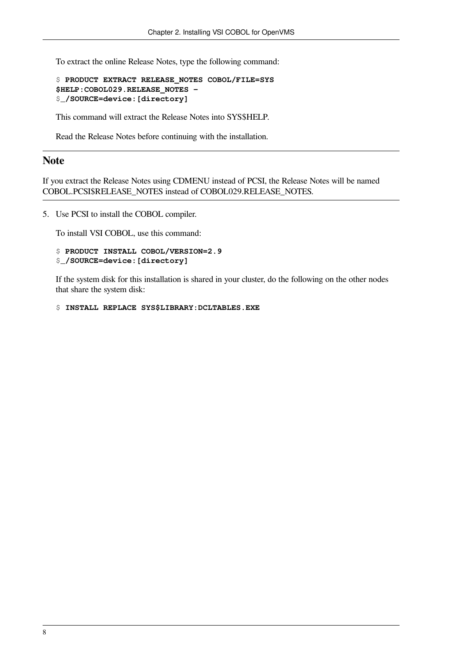To extract the online Release Notes, type the following command:

```
$ PRODUCT EXTRACT RELEASE_NOTES COBOL/FILE=SYS
$HELP:COBOL029.RELEASE_NOTES - 
$_/SOURCE=device:[directory]
```
This command will extract the Release Notes into SYS\$HELP.

Read the Release Notes before continuing with the installation.

#### **Note**

If you extract the Release Notes using CDMENU instead of PCSI, the Release Notes will be named COBOL.PCSI\$RELEASE\_NOTES instead of COBOL029.RELEASE\_NOTES.

5. Use PCSI to install the COBOL compiler.

To install VSI COBOL, use this command:

```
$ PRODUCT INSTALL COBOL/VERSION=2.9
$_/SOURCE=device:[directory]
```
If the system disk for this installation is shared in your cluster, do the following on the other nodes that share the system disk:

\$ **INSTALL REPLACE SYS\$LIBRARY:DCLTABLES.EXE**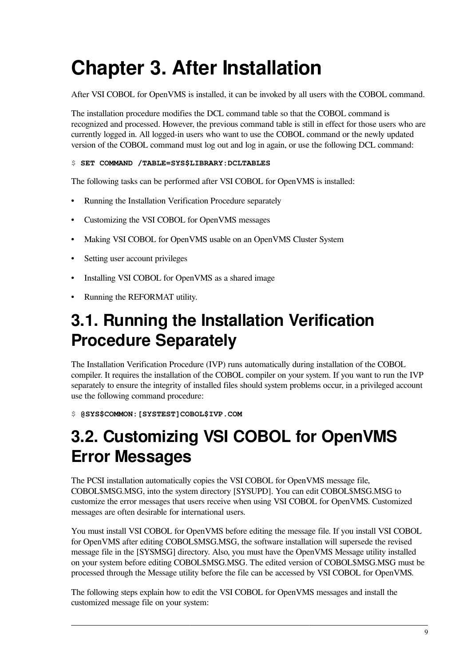# <span id="page-14-0"></span>**Chapter 3. After Installation**

After VSI COBOL for OpenVMS is installed, it can be invoked by all users with the COBOL command.

The installation procedure modifies the DCL command table so that the COBOL command is recognized and processed. However, the previous command table is still in effect for those users who are currently logged in. All logged-in users who want to use the COBOL command or the newly updated version of the COBOL command must log out and log in again, or use the following DCL command:

#### \$ **SET COMMAND /TABLE=SYS\$LIBRARY:DCLTABLES**

The following tasks can be performed after VSI COBOL for OpenVMS is installed:

- Running the Installation Verification Procedure separately
- Customizing the VSI COBOL for OpenVMS messages
- Making VSI COBOL for OpenVMS usable on an OpenVMS Cluster System
- Setting user account privileges
- Installing VSI COBOL for OpenVMS as a shared image
- Running the REFORMAT utility.

### <span id="page-14-1"></span>**3.1. Running the Installation Verification Procedure Separately**

The Installation Verification Procedure (IVP) runs automatically during installation of the COBOL compiler. It requires the installation of the COBOL compiler on your system. If you want to run the IVP separately to ensure the integrity of installed files should system problems occur, in a privileged account use the following command procedure:

\$ **@SYS\$COMMON:[SYSTEST]COBOL\$IVP.COM**

## <span id="page-14-2"></span>**3.2. Customizing VSI COBOL for OpenVMS Error Messages**

The PCSI installation automatically copies the VSI COBOL for OpenVMS message file, COBOL\$MSG.MSG, into the system directory [SYSUPD]. You can edit COBOL\$MSG.MSG to customize the error messages that users receive when using VSI COBOL for OpenVMS. Customized messages are often desirable for international users.

You must install VSI COBOL for OpenVMS before editing the message file. If you install VSI COBOL for OpenVMS after editing COBOL\$MSG.MSG, the software installation will supersede the revised message file in the [SYSMSG] directory. Also, you must have the OpenVMS Message utility installed on your system before editing COBOL\$MSG.MSG. The edited version of COBOL\$MSG.MSG must be processed through the Message utility before the file can be accessed by VSI COBOL for OpenVMS.

The following steps explain how to edit the VSI COBOL for OpenVMS messages and install the customized message file on your system: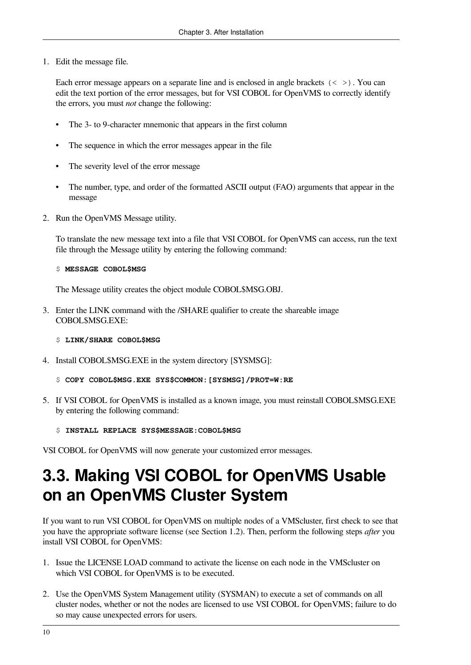1. Edit the message file.

Each error message appears on a separate line and is enclosed in angle brackets  $\langle \langle \rangle \rangle$ . You can edit the text portion of the error messages, but for VSI COBOL for OpenVMS to correctly identify the errors, you must *not* change the following:

- The 3- to 9-character mnemonic that appears in the first column
- The sequence in which the error messages appear in the file
- The severity level of the error message
- The number, type, and order of the formatted ASCII output (FAO) arguments that appear in the message
- 2. Run the OpenVMS Message utility.

To translate the new message text into a file that VSI COBOL for OpenVMS can access, run the text file through the Message utility by entering the following command:

#### \$ **MESSAGE COBOL\$MSG**

The Message utility creates the object module COBOL\$MSG.OBJ.

3. Enter the LINK command with the /SHARE qualifier to create the shareable image COBOL\$MSG.EXE:

#### \$ **LINK/SHARE COBOL\$MSG**

- 4. Install COBOL\$MSG.EXE in the system directory [SYSMSG]:
	- \$ **COPY COBOL\$MSG.EXE SYS\$COMMON:[SYSMSG]/PROT=W:RE**
- 5. If VSI COBOL for OpenVMS is installed as a known image, you must reinstall COBOL\$MSG.EXE by entering the following command:
	- \$ **INSTALL REPLACE SYS\$MESSAGE:COBOL\$MSG**

<span id="page-15-0"></span>VSI COBOL for OpenVMS will now generate your customized error messages.

### **3.3. Making VSI COBOL for OpenVMS Usable on an OpenVMS Cluster System**

If you want to run VSI COBOL for OpenVMS on multiple nodes of a VMScluster, first check to see that you have the appropriate software license (see [Section](#page-6-2) 1.2). Then, perform the following steps *after* you install VSI COBOL for OpenVMS:

- 1. Issue the LICENSE LOAD command to activate the license on each node in the VMScluster on which VSI COBOL for OpenVMS is to be executed.
- 2. Use the OpenVMS System Management utility (SYSMAN) to execute a set of commands on all cluster nodes, whether or not the nodes are licensed to use VSI COBOL for OpenVMS; failure to do so may cause unexpected errors for users.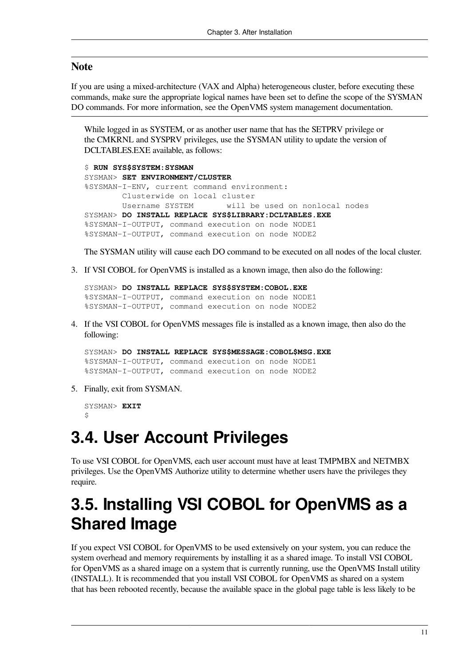#### **Note**

If you are using a mixed-architecture (VAX and Alpha) heterogeneous cluster, before executing these commands, make sure the appropriate logical names have been set to define the scope of the SYSMAN DO commands. For more information, see the OpenVMS system management documentation.

While logged in as SYSTEM, or as another user name that has the SETPRV privilege or the CMKRNL and SYSPRV privileges, use the SYSMAN utility to update the version of DCLTABLES.EXE available, as follows:

```
$ RUN SYS$SYSTEM:SYSMAN
SYSMAN> SET ENVIRONMENT/CLUSTER
%SYSMAN-I-ENV, current command environment:
        Clusterwide on local cluster
        Username SYSTEM will be used on nonlocal nodes
SYSMAN> DO INSTALL REPLACE SYS$LIBRARY:DCLTABLES.EXE
%SYSMAN-I-OUTPUT, command execution on node NODE1
%SYSMAN-I-OUTPUT, command execution on node NODE2
```
The SYSMAN utility will cause each DO command to be executed on all nodes of the local cluster.

3. If VSI COBOL for OpenVMS is installed as a known image, then also do the following:

```
SYSMAN> DO INSTALL REPLACE SYS$SYSTEM:COBOL.EXE
%SYSMAN-I-OUTPUT, command execution on node NODE1
%SYSMAN-I-OUTPUT, command execution on node NODE2
```
4. If the VSI COBOL for OpenVMS messages file is installed as a known image, then also do the following:

SYSMAN> **DO INSTALL REPLACE SYS\$MESSAGE:COBOL\$MSG.EXE** %SYSMAN-I-OUTPUT, command execution on node NODE1 %SYSMAN-I-OUTPUT, command execution on node NODE2

5. Finally, exit from SYSMAN.

```
SYSMAN> EXIT
\hat{\mathbf{S}}
```
### <span id="page-16-0"></span>**3.4. User Account Privileges**

To use VSI COBOL for OpenVMS, each user account must have at least TMPMBX and NETMBX privileges. Use the OpenVMS Authorize utility to determine whether users have the privileges they require.

### <span id="page-16-1"></span>**3.5. Installing VSI COBOL for OpenVMS as a Shared Image**

If you expect VSI COBOL for OpenVMS to be used extensively on your system, you can reduce the system overhead and memory requirements by installing it as a shared image. To install VSI COBOL for OpenVMS as a shared image on a system that is currently running, use the OpenVMS Install utility (INSTALL). It is recommended that you install VSI COBOL for OpenVMS as shared on a system that has been rebooted recently, because the available space in the global page table is less likely to be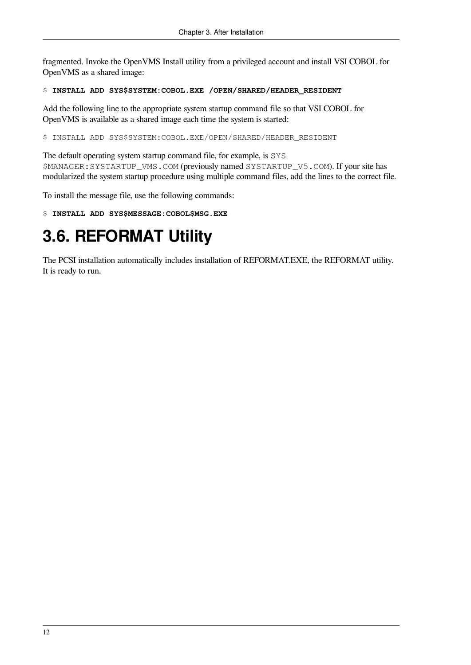fragmented. Invoke the OpenVMS Install utility from a privileged account and install VSI COBOL for OpenVMS as a shared image:

#### \$ **INSTALL ADD SYS\$SYSTEM:COBOL.EXE /OPEN/SHARED/HEADER\_RESIDENT**

Add the following line to the appropriate system startup command file so that VSI COBOL for OpenVMS is available as a shared image each time the system is started:

\$ INSTALL ADD SYS\$SYSTEM:COBOL.EXE/OPEN/SHARED/HEADER\_RESIDENT

The default operating system startup command file, for example, is SYS \$MANAGER:SYSTARTUP\_VMS.COM (previously named SYSTARTUP\_V5.COM). If your site has modularized the system startup procedure using multiple command files, add the lines to the correct file.

To install the message file, use the following commands:

```
$ INSTALL ADD SYS$MESSAGE:COBOL$MSG.EXE
```
## <span id="page-17-0"></span>**3.6. REFORMAT Utility**

The PCSI installation automatically includes installation of REFORMAT.EXE, the REFORMAT utility. It is ready to run.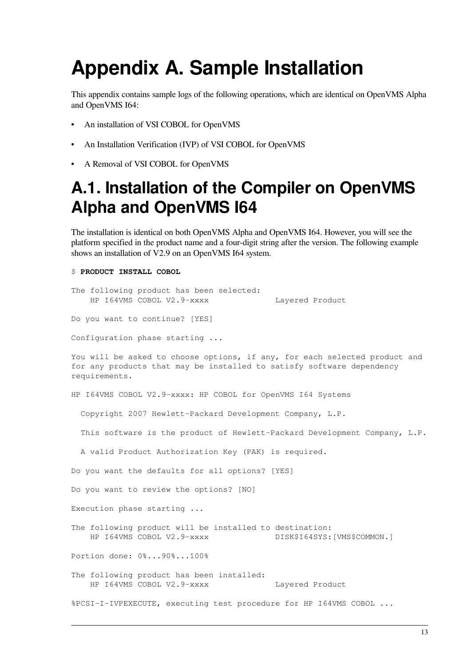# <span id="page-18-0"></span>**Appendix A. Sample Installation**

This appendix contains sample logs of the following operations, which are identical on OpenVMS Alpha and OpenVMS I64:

- An installation of VSI COBOL for OpenVMS
- An Installation Verification (IVP) of VSI COBOL for OpenVMS
- <span id="page-18-1"></span>• A Removal of VSI COBOL for OpenVMS

### **A.1. Installation of the Compiler on OpenVMS Alpha and OpenVMS I64**

The installation is identical on both OpenVMS Alpha and OpenVMS I64. However, you will see the platform specified in the product name and a four-digit string after the version. The following example shows an installation of V2.9 on an OpenVMS I64 system.

#### \$ **PRODUCT INSTALL COBOL**

The following product has been selected: HP I64VMS COBOL V2.9-xxxx Layered Product

Do you want to continue? [YES]

Configuration phase starting ...

You will be asked to choose options, if any, for each selected product and for any products that may be installed to satisfy software dependency requirements.

HP I64VMS COBOL V2.9-xxxx: HP COBOL for OpenVMS I64 Systems

Copyright 2007 Hewlett-Packard Development Company, L.P.

This software is the product of Hewlett-Packard Development Company, L.P.

A valid Product Authorization Key (PAK) is required.

Do you want the defaults for all options? [YES]

Do you want to review the options? [NO]

Execution phase starting ...

The following product will be installed to destination: HP I64VMS COBOL V2.9-xxxx DISK\$I64SYS:[VMS\$COMMON.]

Portion done: 0%...90%...100%

The following product has been installed: HP I64VMS COBOL V2.9-xxxx Layered Product

%PCSI-I-IVPEXECUTE, executing test procedure for HP I64VMS COBOL ...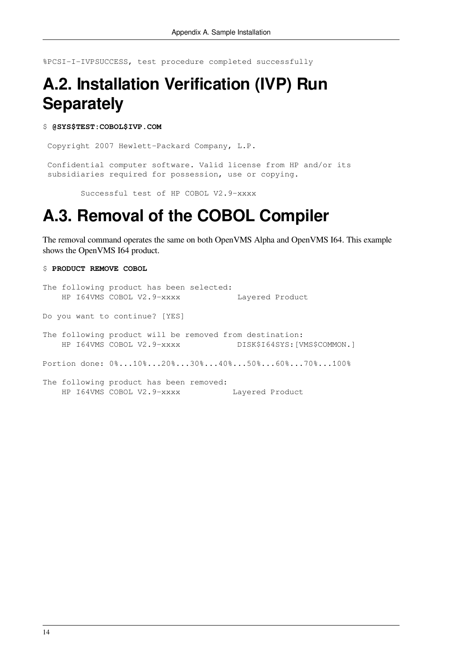<span id="page-19-0"></span>%PCSI-I-IVPSUCCESS, test procedure completed successfully

### **A.2. Installation Verification (IVP) Run Separately**

#### \$ **@SYS\$TEST:COBOL\$IVP.COM**

Copyright 2007 Hewlett-Packard Company, L.P.

 Confidential computer software. Valid license from HP and/or its subsidiaries required for possession, use or copying.

Successful test of HP COBOL V2.9-xxxx

### <span id="page-19-1"></span>**A.3. Removal of the COBOL Compiler**

The removal command operates the same on both OpenVMS Alpha and OpenVMS I64. This example shows the OpenVMS I64 product.

```
$ PRODUCT REMOVE COBOL
```

```
The following product has been selected:
   HP I64VMS COBOL V2.9-xxxx Layered Product
Do you want to continue? [YES]
The following product will be removed from destination:
   HP I64VMS COBOL V2.9-xxxx DISK$I64SYS:[VMS$COMMON.]
Portion done: 0%...10%...20%...30%...40%...50%...60%...70%...100%
The following product has been removed:
   HP I64VMS COBOL V2.9-xxxx Layered Product
```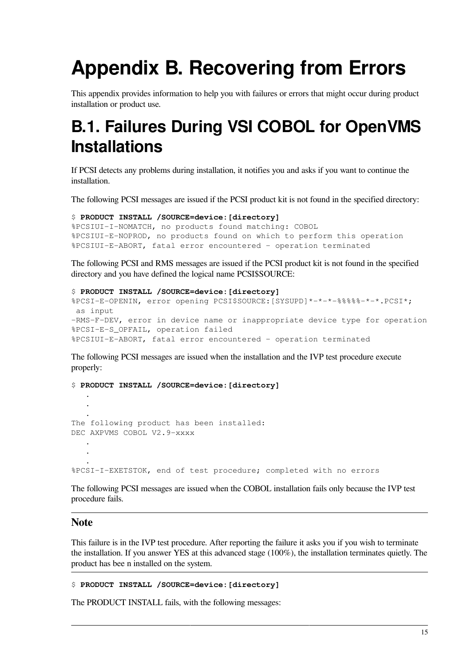# <span id="page-20-0"></span>**Appendix B. Recovering from Errors**

This appendix provides information to help you with failures or errors that might occur during product installation or product use.

## <span id="page-20-1"></span>**B.1. Failures During VSI COBOL for OpenVMS Installations**

If PCSI detects any problems during installation, it notifies you and asks if you want to continue the installation.

The following PCSI messages are issued if the PCSI product kit is not found in the specified directory:

```
$ PRODUCT INSTALL /SOURCE=device:[directory]
%PCSIUI-I-NOMATCH, no products found matching: COBOL
%PCSIUI-E-NOPROD, no products found on which to perform this operation
%PCSIUI-E-ABORT, fatal error encountered - operation terminated
```
The following PCSI and RMS messages are issued if the PCSI product kit is not found in the specified directory and you have defined the logical name PCSI\$SOURCE:

```
$ PRODUCT INSTALL /SOURCE=device:[directory]
%PCSI-E-OPENIN, error opening PCSI$SOURCE:[SYSUPD]*-*-*-%%%%%-*-*.PCSI*;
 as input
-RMS-F-DEV, error in device name or inappropriate device type for operation
%PCSI-E-S_OPFAIL, operation failed
%PCSIUI-E-ABORT, fatal error encountered - operation terminated
```
The following PCSI messages are issued when the installation and the IVP test procedure execute properly:

\$ **PRODUCT INSTALL /SOURCE=device:[directory]** . . . The following product has been installed: DEC AXPVMS COBOL V2.9-xxxx . . . %PCSI-I-EXETSTOK, end of test procedure; completed with no errors

The following PCSI messages are issued when the COBOL installation fails only because the IVP test procedure fails.

#### **Note**

This failure is in the IVP test procedure. After reporting the failure it asks you if you wish to terminate the installation. If you answer YES at this advanced stage (100%), the installation terminates quietly. The product has bee n installed on the system.

#### \$ **PRODUCT INSTALL /SOURCE=device:[directory]**

The PRODUCT INSTALL fails, with the following messages: